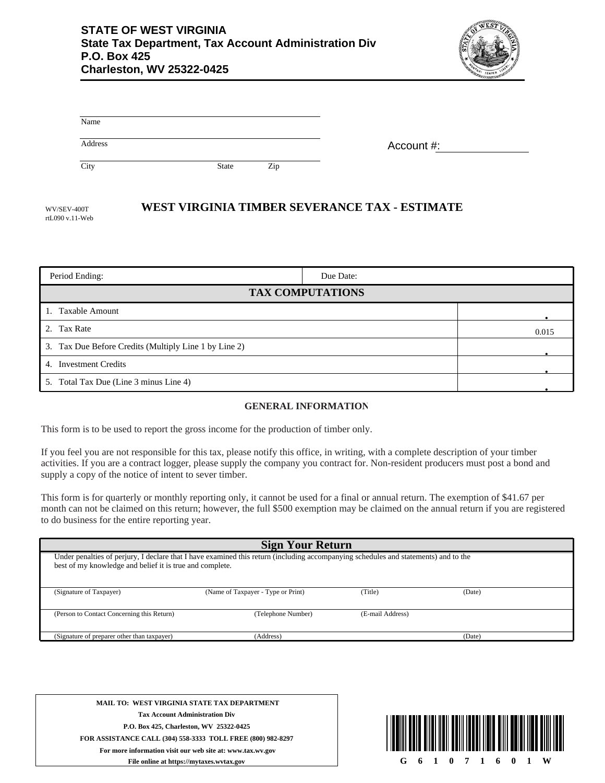

| Name    |       |     |            |
|---------|-------|-----|------------|
| Address |       |     | Account #: |
| City    | State | Zip |            |

## **WEST VIRGINIA TIMBER SEVERANCE TAX - ESTIMATE**

| WV/SEV-400T     |  |  |  |  |  |
|-----------------|--|--|--|--|--|
| rtL090 v.11-Web |  |  |  |  |  |

| Period Ending:                                        | Due Date: |  |  |  |  |  |
|-------------------------------------------------------|-----------|--|--|--|--|--|
| <b>TAX COMPUTATIONS</b>                               |           |  |  |  |  |  |
| 1. Taxable Amount                                     |           |  |  |  |  |  |
| 2. Tax Rate                                           | 0.015     |  |  |  |  |  |
| 3. Tax Due Before Credits (Multiply Line 1 by Line 2) |           |  |  |  |  |  |
| 4. Investment Credits                                 |           |  |  |  |  |  |
| 5. Total Tax Due (Line 3 minus Line 4)                |           |  |  |  |  |  |

## **GENERAL INFORMATION**

This form is to be used to report the gross income for the production of timber only.

If you feel you are not responsible for this tax, please notify this office, in writing, with a complete description of your timber activities. If you are a contract logger, please supply the company you contract for. Non-resident producers must post a bond and supply a copy of the notice of intent to sever timber.

This form is for quarterly or monthly reporting only, it cannot be used for a final or annual return. The exemption of \$41.67 per month can not be claimed on this return; however, the full \$500 exemption may be claimed on the annual return if you are registered to do business for the entire reporting year.

| <b>Sign Your Return</b>                                                                                                                                                                         |                                    |                  |        |  |  |  |  |  |
|-------------------------------------------------------------------------------------------------------------------------------------------------------------------------------------------------|------------------------------------|------------------|--------|--|--|--|--|--|
| Under penalties of perjury, I declare that I have examined this return (including accompanying schedules and statements) and to the<br>best of my knowledge and belief it is true and complete. |                                    |                  |        |  |  |  |  |  |
| (Signature of Taxpayer)                                                                                                                                                                         | (Name of Taxpayer - Type or Print) | (Title)          | (Date) |  |  |  |  |  |
| (Person to Contact Concerning this Return)                                                                                                                                                      | (Telephone Number)                 | (E-mail Address) |        |  |  |  |  |  |
| (Signature of preparer other than taxpayer)                                                                                                                                                     | (Address)                          |                  | (Date) |  |  |  |  |  |

**MAIL TO: WEST VIRGINIA STATE TAX DEPARTMENT Tax Account Administration Div P.O. Box 425, Charleston, WV 25322-0425 FOR ASSISTANCE CALL (304) 558-3333 TOLL FREE (800) 982-8297 For more information visit our web site at: www.tax.wv.gov File online at https://mytaxes.wvtax.gov**